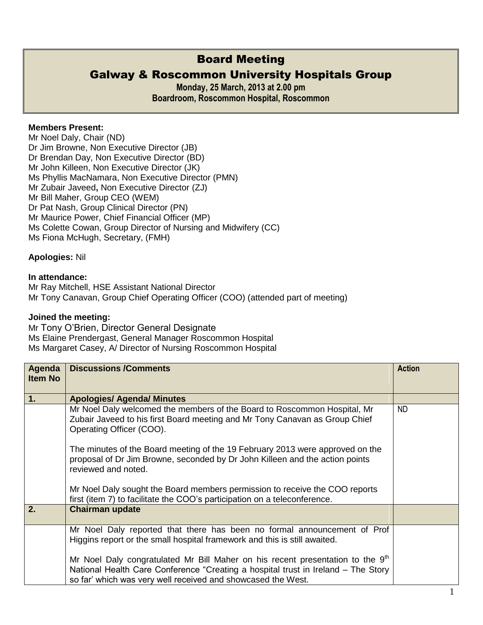# Board Meeting

# Galway & Roscommon University Hospitals Group

**Monday, 25 March, 2013 at 2.00 pm Boardroom, Roscommon Hospital, Roscommon**

## **Members Present:**

Mr Noel Daly, Chair (ND) Dr Jim Browne, Non Executive Director (JB) Dr Brendan Day, Non Executive Director (BD) Mr John Killeen, Non Executive Director (JK) Ms Phyllis MacNamara, Non Executive Director (PMN) Mr Zubair Javeed**,** Non Executive Director (ZJ) Mr Bill Maher, Group CEO (WEM) Dr Pat Nash, Group Clinical Director (PN) Mr Maurice Power, Chief Financial Officer (MP) Ms Colette Cowan, Group Director of Nursing and Midwifery (CC) Ms Fiona McHugh, Secretary, (FMH)

### **Apologies:** Nil

### **In attendance:**

Mr Ray Mitchell, HSE Assistant National Director Mr Tony Canavan, Group Chief Operating Officer (COO) (attended part of meeting)

### **Joined the meeting:**

Mr Tony O'Brien, Director General Designate Ms Elaine Prendergast, General Manager Roscommon Hospital Ms Margaret Casey, A/ Director of Nursing Roscommon Hospital

| Agenda         | <b>Discussions /Comments</b>                                                                                                                                                                                                                    | <b>Action</b> |
|----------------|-------------------------------------------------------------------------------------------------------------------------------------------------------------------------------------------------------------------------------------------------|---------------|
| <b>Item No</b> |                                                                                                                                                                                                                                                 |               |
| 1.             | <b>Apologies/ Agenda/ Minutes</b>                                                                                                                                                                                                               |               |
|                | Mr Noel Daly welcomed the members of the Board to Roscommon Hospital, Mr<br>Zubair Javeed to his first Board meeting and Mr Tony Canavan as Group Chief<br>Operating Officer (COO).                                                             | <b>ND</b>     |
|                | The minutes of the Board meeting of the 19 February 2013 were approved on the<br>proposal of Dr Jim Browne, seconded by Dr John Killeen and the action points<br>reviewed and noted.                                                            |               |
|                | Mr Noel Daly sought the Board members permission to receive the COO reports<br>first (item 7) to facilitate the COO's participation on a teleconference.                                                                                        |               |
| 2.             | <b>Chairman update</b>                                                                                                                                                                                                                          |               |
|                | Mr Noel Daly reported that there has been no formal announcement of Prof<br>Higgins report or the small hospital framework and this is still awaited.                                                                                           |               |
|                | Mr Noel Daly congratulated Mr Bill Maher on his recent presentation to the 9 <sup>th</sup><br>National Health Care Conference "Creating a hospital trust in Ireland – The Story<br>so far' which was very well received and showcased the West. |               |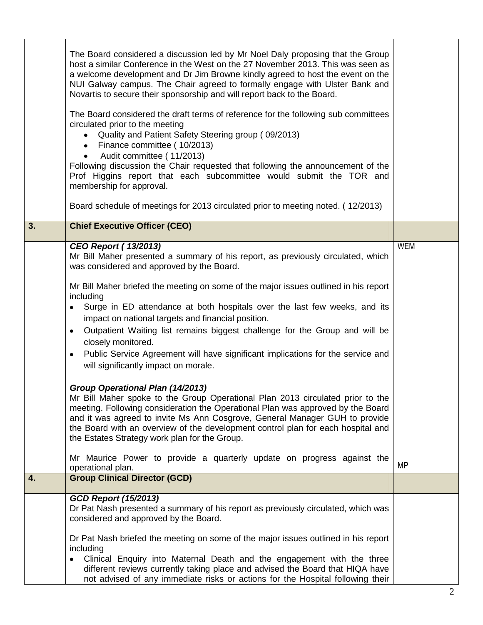|    | The Board considered a discussion led by Mr Noel Daly proposing that the Group<br>host a similar Conference in the West on the 27 November 2013. This was seen as<br>a welcome development and Dr Jim Browne kindly agreed to host the event on the<br>NUI Galway campus. The Chair agreed to formally engage with Ulster Bank and<br>Novartis to secure their sponsorship and will report back to the Board.<br>The Board considered the draft terms of reference for the following sub committees<br>circulated prior to the meeting<br>Quality and Patient Safety Steering group (09/2013)<br>Finance committee (10/2013)<br>Audit committee (11/2013)<br>Following discussion the Chair requested that following the announcement of the<br>Prof Higgins report that each subcommittee would submit the TOR and<br>membership for approval.<br>Board schedule of meetings for 2013 circulated prior to meeting noted. (12/2013)                                                                                                                                                                                                                                                                            |                         |
|----|----------------------------------------------------------------------------------------------------------------------------------------------------------------------------------------------------------------------------------------------------------------------------------------------------------------------------------------------------------------------------------------------------------------------------------------------------------------------------------------------------------------------------------------------------------------------------------------------------------------------------------------------------------------------------------------------------------------------------------------------------------------------------------------------------------------------------------------------------------------------------------------------------------------------------------------------------------------------------------------------------------------------------------------------------------------------------------------------------------------------------------------------------------------------------------------------------------------|-------------------------|
| 3. | <b>Chief Executive Officer (CEO)</b>                                                                                                                                                                                                                                                                                                                                                                                                                                                                                                                                                                                                                                                                                                                                                                                                                                                                                                                                                                                                                                                                                                                                                                           |                         |
|    | <b>CEO Report (13/2013)</b><br>Mr Bill Maher presented a summary of his report, as previously circulated, which<br>was considered and approved by the Board.<br>Mr Bill Maher briefed the meeting on some of the major issues outlined in his report<br>including<br>Surge in ED attendance at both hospitals over the last few weeks, and its<br>$\bullet$<br>impact on national targets and financial position.<br>Outpatient Waiting list remains biggest challenge for the Group and will be<br>$\bullet$<br>closely monitored.<br>Public Service Agreement will have significant implications for the service and<br>$\bullet$<br>will significantly impact on morale.<br><b>Group Operational Plan (14/2013)</b><br>Mr Bill Maher spoke to the Group Operational Plan 2013 circulated prior to the<br>meeting. Following consideration the Operational Plan was approved by the Board<br>and it was agreed to invite Ms Ann Cosgrove, General Manager GUH to provide<br>the Board with an overview of the development control plan for each hospital and<br>the Estates Strategy work plan for the Group.<br>Mr Maurice Power to provide a quarterly update on progress against the<br>operational plan. | <b>WEM</b><br><b>MP</b> |
| 4. | <b>Group Clinical Director (GCD)</b>                                                                                                                                                                                                                                                                                                                                                                                                                                                                                                                                                                                                                                                                                                                                                                                                                                                                                                                                                                                                                                                                                                                                                                           |                         |
|    | <b>GCD Report (15/2013)</b><br>Dr Pat Nash presented a summary of his report as previously circulated, which was<br>considered and approved by the Board.<br>Dr Pat Nash briefed the meeting on some of the major issues outlined in his report<br>including<br>Clinical Enquiry into Maternal Death and the engagement with the three<br>different reviews currently taking place and advised the Board that HIQA have<br>not advised of any immediate risks or actions for the Hospital following their                                                                                                                                                                                                                                                                                                                                                                                                                                                                                                                                                                                                                                                                                                      |                         |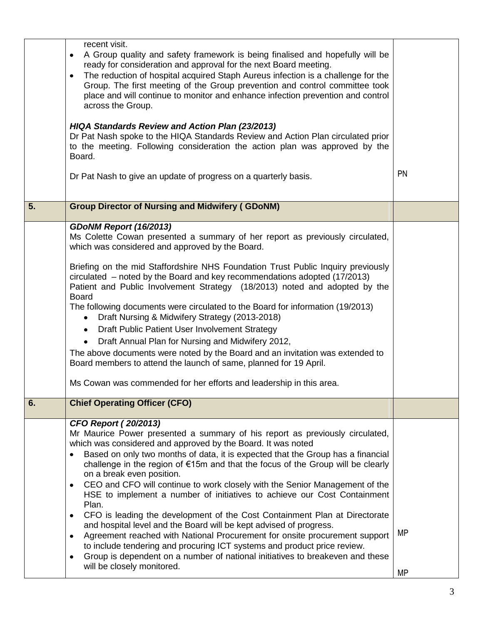|    | recent visit.<br>A Group quality and safety framework is being finalised and hopefully will be<br>$\bullet$<br>ready for consideration and approval for the next Board meeting.<br>The reduction of hospital acquired Staph Aureus infection is a challenge for the<br>$\bullet$<br>Group. The first meeting of the Group prevention and control committee took<br>place and will continue to monitor and enhance infection prevention and control<br>across the Group.<br><b>HIQA Standards Review and Action Plan (23/2013)</b><br>Dr Pat Nash spoke to the HIQA Standards Review and Action Plan circulated prior<br>to the meeting. Following consideration the action plan was approved by the<br>Board.<br>Dr Pat Nash to give an update of progress on a quarterly basis.                                                                                                                                                                                                                                                    | <b>PN</b> |
|----|-------------------------------------------------------------------------------------------------------------------------------------------------------------------------------------------------------------------------------------------------------------------------------------------------------------------------------------------------------------------------------------------------------------------------------------------------------------------------------------------------------------------------------------------------------------------------------------------------------------------------------------------------------------------------------------------------------------------------------------------------------------------------------------------------------------------------------------------------------------------------------------------------------------------------------------------------------------------------------------------------------------------------------------|-----------|
| 5. | <b>Group Director of Nursing and Midwifery (GDoNM)</b>                                                                                                                                                                                                                                                                                                                                                                                                                                                                                                                                                                                                                                                                                                                                                                                                                                                                                                                                                                              |           |
|    | GDoNM Report (16/2013)<br>Ms Colette Cowan presented a summary of her report as previously circulated,<br>which was considered and approved by the Board.<br>Briefing on the mid Staffordshire NHS Foundation Trust Public Inquiry previously<br>circulated – noted by the Board and key recommendations adopted (17/2013)<br>Patient and Public Involvement Strategy (18/2013) noted and adopted by the<br><b>Board</b><br>The following documents were circulated to the Board for information (19/2013)<br>Draft Nursing & Midwifery Strategy (2013-2018)                                                                                                                                                                                                                                                                                                                                                                                                                                                                        |           |
|    | Draft Public Patient User Involvement Strategy<br>$\bullet$<br>Draft Annual Plan for Nursing and Midwifery 2012,<br>$\bullet$<br>The above documents were noted by the Board and an invitation was extended to<br>Board members to attend the launch of same, planned for 19 April.<br>Ms Cowan was commended for her efforts and leadership in this area.                                                                                                                                                                                                                                                                                                                                                                                                                                                                                                                                                                                                                                                                          |           |
| 6. | <b>Chief Operating Officer (CFO)</b>                                                                                                                                                                                                                                                                                                                                                                                                                                                                                                                                                                                                                                                                                                                                                                                                                                                                                                                                                                                                |           |
|    | <b>CFO Report (20/2013)</b><br>Mr Maurice Power presented a summary of his report as previously circulated,<br>which was considered and approved by the Board. It was noted<br>Based on only two months of data, it is expected that the Group has a financial<br>challenge in the region of €15m and that the focus of the Group will be clearly<br>on a break even position.<br>CEO and CFO will continue to work closely with the Senior Management of the<br>$\bullet$<br>HSE to implement a number of initiatives to achieve our Cost Containment<br>Plan.<br>CFO is leading the development of the Cost Containment Plan at Directorate<br>$\bullet$<br>and hospital level and the Board will be kept advised of progress.<br>Agreement reached with National Procurement for onsite procurement support<br>$\bullet$<br>to include tendering and procuring ICT systems and product price review.<br>Group is dependent on a number of national initiatives to breakeven and these<br>$\bullet$<br>will be closely monitored. | <b>MP</b> |
|    |                                                                                                                                                                                                                                                                                                                                                                                                                                                                                                                                                                                                                                                                                                                                                                                                                                                                                                                                                                                                                                     | <b>MP</b> |